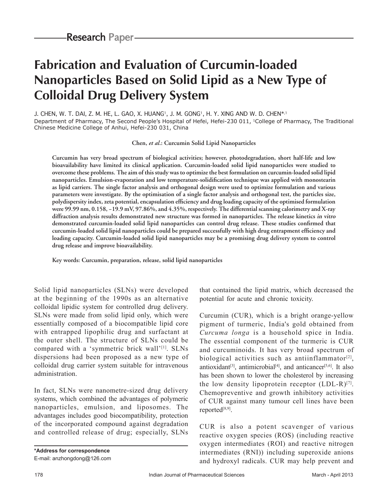# **Fabrication and Evaluation of Curcumin‑loaded Nanoparticles Based on Solid Lipid as a New Type of Colloidal Drug Delivery System**

J. CHEN, W. T. DAI, Z. M. HE, L. GAO, X. HUANG1, J. M. GONG1, H. Y. XING AND W. D. CHEN\*,1 Department of Pharmacy, The Second People's Hospital of Hefei, Hefei-230 011, 1College of Pharmacy, The Traditional Chinese Medicine College of Anhui, Hefei-230 031, China

**Chen,** *et al***.: Curcumin Solid Lipid Nanoparticles**

**Curcumin has very broad spectrum of biological activities; however, photodegradation, short half‑life and low bioavailability have limited its clinical application. Curcumin‑loaded solid lipid nanoparticles were studied to overcome these problems. The aim of this study was to optimize the best formulation on curcumin‑loaded solid lipid nanoparticles. Emulsion‑evaporation and low temperature‑solidification technique was applied with monostearin as lipid carriers. The single factor analysis and orthogonal design were used to optimize formulation and various parameters were investigate. By the optimisation of a single factor analysis and orthogonal test, the particles size, polydispersity index, zeta potential, encapsulation efficiency and drug loading capacity of the optimised formulation were 99.99 nm, 0.158, −19.9 mV, 97.86%, and 4.35%, respectively. The differential scanning calorimetry and X‑ray diffraction analysis results demonstrated new structure was formed in nanoparticles. The release kinetics in vitro demonstrated curcumin‑loaded solid lipid nanoparticles can control drug release. These studies confirmed that curcumin‑loaded solid lipid nanoparticles could be prepared successfully with high drug entrapment efficiency and loading capacity. Curcumin‑loaded solid lipid nanoparticles may be a promising drug delivery system to control drug release and improve bioavailability.**

**Key words: Curcumin, preparation, release, solid lipid nanoparticles**

Solid lipid nanoparticles (SLNs) were developed at the beginning of the 1990s as an alternative colloidal lipidic system for controlled drug delivery. SLNs were made from solid lipid only, which were essentially composed of a biocompatible lipid core with entrapped lipophilic drug and surfactant at the outer shell. The structure of SLNs could be compared with a 'symmetric brick wall'[1]. SLNs dispersions had been proposed as a new type of colloidal drug carrier system suitable for intravenous administration.

In fact, SLNs were nanometre-sized drug delivery systems, which combined the advantages of polymeric nanoparticles, emulsion, and liposomes. The advantages includes good biocompatibility, protection of the incorporated compound against degradation and controlled release of drug; especially, SLNs

**\*Address for correspondence** E-mail: anzhongdong@126.com

that contained the lipid matrix, which decreased the potential for acute and chronic toxicity.

Curcumin (CUR), which is a bright orange‑yellow pigment of turmeric, India's gold obtained from *Curcuma longa* is a household spice in India. The essential component of the turmeric is CUR and curcuminoids. It has very broad spectrum of biological activities such as antiinflammator $[2]$ , antioxidant<sup>[3]</sup>, antimicrobial<sup>[4]</sup>, and anticancer<sup>[5,6]</sup>. It also has been shown to lower the cholesterol by increasing the low density lipoprotein receptor  $(LDL-R)^{[7]}$ . Chemopreventive and growth inhibitory activities of CUR against many tumour cell lines have been reported<sup>[8,9]</sup>.

CUR is also a potent scavenger of various reactive oxygen species (ROS) (including reactive oxygen intermediates (ROI) and reactive nitrogen intermediates (RNI)) including superoxide anions and hydroxyl radicals. CUR may help prevent and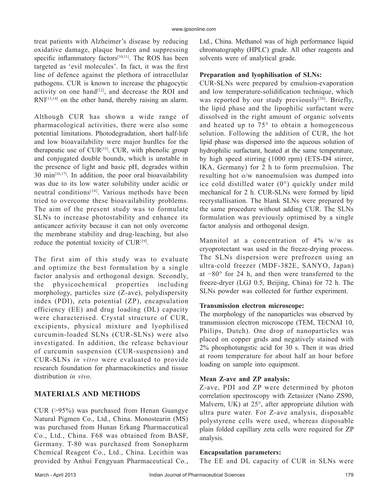treat patients with Alzheimer's disease by reducing oxidative damage, plaque burden and suppressing specific inflammatory factors<sup>[10,11]</sup>. The ROS has been targeted as 'evil molecules'. In fact, it was the first line of defence against the plethora of intracellular pathogens. CUR is known to increase the phagocytic activity on one hand<sup>[12]</sup>, and decrease the ROI and  $RNI^{[13,14]}$  on the other hand, thereby raising an alarm.

Although CUR has shown a wide range of pharmacological activities, there were also some potential limitations. Photodegradation, short half-life and low bioavailability were major hurdles for the therapeutic use of  $CUR^{[15]}$ .  $CUR$ , with phenolic group and conjugated double bounds, which is unstable in the presence of light and basic pH, degrades within  $30 \text{ min}^{[16,17]}$ . In addition, the poor oral bioavailability was due to its low water solubility under acidic or neutral conditions<sup>[18]</sup>. Various methods have been tried to overcome these bioavailability problems. The aim of the present study was to formulate SLNs to increase photostability and enhance its anticancer activity because it can not only overcome the membrane stability and drug‑leaching, but also reduce the potential toxicity of  $CUR^{[19]}$ .

The first aim of this study was to evaluate and optimize the best formulation by a single factor analysis and orthogonal design. Secondly, the physicochemical properties including morphology, particles size (Z‑ave), polydispersity index (PDI), zeta potential (ZP), encapsulation efficiency (EE) and drug loading (DL) capacity were characterised. Crystal structure of CUR, excipients, physical mixture and lyophilised curcumin‑loaded SLNs (CUR‑SLNs) were also investigated. In addition, the release behaviour of curcumin suspension (CUR‑suspension) and CUR‑SLNs *in vitro* were evaluated to provide research foundation for pharmacokinetics and tissue distribution *in vivo*.

# **MATERIALS AND METHODS**

CUR (>95%) was purchased from Henan Guangye Natural Pigmen Co., Ltd., China. Monostearin (MS) was purchased from Hunan Erkang Pharmaceutical Co., Ltd., China. F68 was obtained from BASF, Germany. T‑80 was purchased from Sonopharm Chemical Reagent Co., Ltd., China. Lecithin was provided by Anhui Fengyuan Pharmaceutical Co.,

Ltd., China. Methanol was of high performance liquid chromatography (HPLC) grade. All other reagents and solvents were of analytical grade.

## **Preparation and lyophilisation of SLNs:**

CUR‑SLNs were prepared by emulsion‑evaporation and low temperature‑solidification technique, which was reported by our study previously<sup>[20]</sup>. Briefly, the lipid phase and the lipophilic surfactant were dissolved in the right amount of organic solvents and heated up to 75° to obtain a homogeneous solution. Following the addition of CUR, the hot lipid phase was dispersed into the aqueous solution of hydrophilic surfactant, heated at the same temperature, by high speed stirring (1000 rpm) (ETS‑D4 stirrer, IKA, Germany) for 2 h to form preemulsion. The resulting hot o/w nanoemulsion was dumped into ice cold distilled water (0°) quickly under mild mechanical for 2 h. CUR‑SLNs were formed by lipid recrystallisation. The blank SLNs were prepared by the same procedure without adding CUR. The SLNs formulation was previously optimised by a single factor analysis and orthogonal design.

Mannitol at a concentration of 4% w/w as cryoprotectant was used in the freeze‑drying process. The SLNs dispersion were prefrozen using an ultra‑cold freezer (MDF‑382E, SANYO, Japan) at −80° for 24 h, and then were transferred to the freeze‑dryer (LGJ 0.5, Beijing, China) for 72 h. The SLNs powder was collected for further experiment.

## **Transmission electron microscope:**

The morphology of the nanoparticles was observed by transmission electron microscope (TEM, TECNAI 10, Philips, Dutch). One drop of nanoparticles was placed on copper grids and negatively stained with 2% phosphotungstic acid for 30 s. Then it was dried at room temperature for about half an hour before loading on sample into equipment.

## **Mean Z‑ave and ZP analysis:**

Z‑ave, PDI and ZP were determined by photon correlation spectroscopy with Zetasizer (Nano ZS90, Malvern, UK) at 25°, after appropriate dilution with ultra pure water. For Z‑ave analysis, disposable polystyrene cells were used, whereas disposable plain folded capillary zeta cells were required for ZP analysis.

#### **Encapsulation parameters:**

The EE and DL capacity of CUR in SLNs were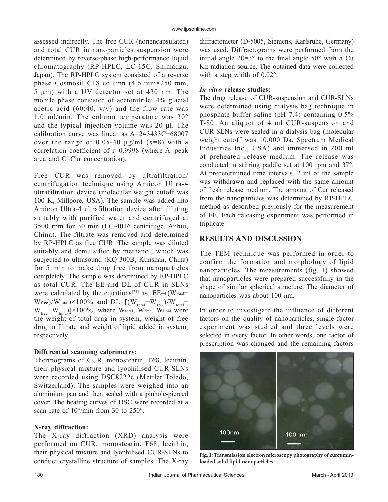assessed indirectly. The free CUR (nonencapsulated) and total CUR in nanoparticles suspension were determined by reverse-phase high-performance liquid chromatography (RP‑HPLC, LC‑15C, Shimadzu, Japan). The RP‑HPLC system consisted of a reverse phase Cosmosil C18 column (4.6 mm×250 mm, 5 μm) with a UV detector set at 430 nm. The mobile phase consisted of acetonitrile: 4% glacial acetic acid  $(60:40, v/v)$  and the flow rate was 1.0 ml/min. The column temperature was 30° and the typical injection volume was 20 μl. The calibration curve was linear as A=243433C−68007 over the range of  $0.05-40 \mu g/ml$   $(n=8)$  with a correlation coefficient of r=0.9998 (where A=peak area and C=Cur concentration).

Free CUR was removed by ultrafiltration/ centrifugation technique using Amicon Ultra‑4 ultrafiltration device (molecular weight cutoff was 100 K, Millpore, USA). The sample was added into Amicon Ultra-4 ultrafiltration device after diluting suitably with purified water and centrifuged at 3500 rpm for 30 min (LC‑4016 centrifuge, Anhui, China). The filtrate was removed and determined by RP‑HPLC as free CUR. The sample was diluted suitably and demulsified by methanol, which was subjected to ultrasound (KQ-300B, Kunshan, China) for 5 min to make drug free from nanoparticles completely. The sample was determined by RP‑HPLC as total CUR. The EE and DL of CUR in SLNs were calculated by the equations<sup>[21]</sup> as,  $EE=(W_{total}$  $W_{\text{free}}/W_{\text{total}}$ )×100% and DL=[( $W_{\text{total}}$ – $W_{\text{free}}/W_{\text{total}}$ –  $W_{\text{free}}+W_{\text{lipid}}$ ]×100%, where W<sub>total</sub>, W<sub>free,</sub> W<sub>lipid</sub> were the weight of total drug in system, weight of free drug in filtrate and weight of lipid added in system, respectively.

## **Differential scanning calorimetry:**

Thermograms of CUR, monostearin, F68, lecithin, their physical mixture and lyophilised CUR‑SLNs were recorded using DSC8222e (Mettler Toledo, Switzerland). The samples were weighed into an aluminium pan and then sealed with a pinhole-pierced cover. The heating curves of DSC were recorded at a scan rate of  $10^{\circ}/\text{min}$  from 30 to 250°.

## **X‑ray diffraction:**

The X-ray diffraction (XRD) analysis were performed on CUR, monostearin, F68, lecithin, their physical mixture and lyophilised CUR‑SLNs to conduct crystalline structure of samples. The X-ray diffractometer (D‑5005, Siemens, Karlsruhe, Germany) was used. Diffractograms were performed from the initial angle  $2\theta=3^\circ$  to the final angle  $50^\circ$  with a Cu Kα radiation source. The obtained data were collected with a step width of 0.02°.

#### *In vitro* **release studies:**

The drug release of CUR-suspension and CUR-SLNs were determined using dialysis bag technique in phosphate buffer saline (pH 7.4) containing 0.5% T-80. An aliquot of 4 ml CUR-suspension and CUR‑SLNs were sealed in a dialysis bag (molecular weight cutoff was 10,000 Da, Spectrum Medical Industries Inc., USA) and immersed in 200 ml of preheated release medium. The release was conducted in stirring paddle set at 100 rpm and 37°. At predetermined time intervals, 2 ml of the sample was withdrawn and replaced with the same amount of fresh release medium. The amount of Cur released from the nanoparticles was determined by RP‑HPLC method as described previously for the measurement of EE. Each releasing experiment was performed in triplicate.

## **RESULTS AND DISCUSSION**

The TEM technique was performed in order to confirm the formation and morphology of lipid nanoparticles. The measurements (fig. 1) showed that nanoparticles were prepared successfully in the shape of similar spherical structure. The diameter of nanoparticles was about 100 nm.

In order to investigate the influence of different factors on the quality of nanoparticles, single factor experiment was studied and three levels were selected in every factor. In other words, one factor of prescription was changed and the remaining factors



**Fig. 1: Transmission electron microscopy photography of curcuminloaded solid lipid nanoparticles.**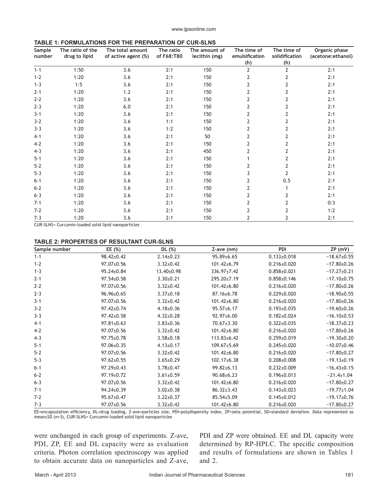www.ijpsonline.com

| TABLE 1: FORMULATIONS FOR THE PREPARATION OF CUR-SLNS |  |
|-------------------------------------------------------|--|
|-------------------------------------------------------|--|

| Sample<br>number | The ratio of the<br>drug to lipid | The total amount<br>of active agent (%) | The ratio<br>of F68:T80 | The amount of<br>lecithin (mg) | The time of<br>emulsification<br>(h) | The time of<br>solidification<br>(h) | Organic phase<br>(acetone: ethanol) |
|------------------|-----------------------------------|-----------------------------------------|-------------------------|--------------------------------|--------------------------------------|--------------------------------------|-------------------------------------|
| $1 - 1$          | 1:50                              | 3.6                                     | 2:1                     | 150                            | $\overline{2}$                       | $\overline{2}$                       | 2:1                                 |
| $1 - 2$          | 1:20                              | 3.6                                     | 2:1                     | 150                            | 2                                    | 2                                    | 2:1                                 |
| $1 - 3$          | 1:5                               | 3.6                                     | 2:1                     | 150                            | 2                                    | 2                                    | 2:1                                 |
| $2 - 1$          | 1:20                              | 1.2                                     | 2:1                     | 150                            | 2                                    | 2                                    | 2:1                                 |
| $2 - 2$          | 1:20                              | 3.6                                     | 2:1                     | 150                            | $\overline{2}$                       | 2                                    | 2:1                                 |
| $2 - 3$          | 1:20                              | $6.0$                                   | 2:1                     | 150                            | 2                                    | 2                                    | 2:1                                 |
| $3 - 1$          | 1:20                              | 3.6                                     | 2:1                     | 150                            | 2                                    | 2                                    | 2:1                                 |
| $3 - 2$          | 1:20                              | 3.6                                     | 1:1                     | 150                            | 2                                    | 2                                    | 2:1                                 |
| $3 - 3$          | 1:20                              | 3.6                                     | 1:2                     | 150                            | 2                                    | 2                                    | 2:1                                 |
| $4 - 1$          | 1:20                              | 3.6                                     | 2:1                     | 50                             | 2                                    | 2                                    | 2:1                                 |
| $4 - 2$          | 1:20                              | 3.6                                     | 2:1                     | 150                            | $\overline{2}$                       | 2                                    | 2:1                                 |
| $4 - 3$          | 1:20                              | 3.6                                     | 2:1                     | 450                            | 2                                    | 2                                    | 2:1                                 |
| $5 - 1$          | 1:20                              | 3.6                                     | 2:1                     | 150                            |                                      | 2                                    | 2:1                                 |
| $5 - 2$          | 1:20                              | 3.6                                     | 2:1                     | 150                            | 2                                    | 2                                    | 2:1                                 |
| $5 - 3$          | 1:20                              | 3.6                                     | 2:1                     | 150                            | 3                                    | 2                                    | 2:1                                 |
| $6 - 1$          | 1:20                              | 3.6                                     | 2:1                     | 150                            | $\overline{2}$                       | 0.5                                  | 2:1                                 |
| $6 - 2$          | 1:20                              | 3.6                                     | 2:1                     | 150                            | 2                                    |                                      | 2:1                                 |
| $6 - 3$          | 1:20                              | 3.6                                     | 2:1                     | 150                            | 2                                    | 2                                    | 2:1                                 |
| $7 - 1$          | 1:20                              | 3.6                                     | 2:1                     | 150                            | $\overline{2}$                       |                                      | 0:3                                 |
| $7 - 2$          | 1:20                              | 3.6                                     | 2:1                     | 150                            | 2                                    | 2                                    | 1:2                                 |
| $7 - 3$          | 1:20                              | 3.6                                     | 2:1                     | 150                            | 2                                    | 2                                    | 2:1                                 |

CUR-SLNS= Curcumin-loaded solid lipid nanoparticles

#### **TABLE 2: PROPERTIES OF RESULTANT CUR-SLNS**

| Sample number | EE (%)           | DL (%)          | $Z$ -ave $(nm)$   | PDI               | ZP(mV)            |
|---------------|------------------|-----------------|-------------------|-------------------|-------------------|
| $1 - 1$       | 98.42±0.42       | $2.14 \pm 0.23$ | 95.89±6.65        | $0.133 \pm 0.018$ | $-18.67 \pm 0.55$ |
| $1 - 2$       | 97.07±0.56       | $3.32 \pm 0.42$ | 101.42±6.79       | $0.216 \pm 0.020$ | $-17.80 \pm 0.26$ |
| $1 - 3$       | 95.24±0.84       | 13.40±0.98      | 336.97±7.42       | $0.858 \pm 0.021$ | $-17.27 \pm 0.21$ |
| $2 - 1$       | 97.54±0.58       | $3.30 \pm 0.21$ | 295.20±7.19       | $0.858 \pm 0.146$ | $-17.10\pm0.75$   |
| $2 - 2$       | 97.07±0.56       | $3.32 \pm 0.42$ | 101.42±6.80       | $0.216 \pm 0.020$ | $-17.80 \pm 0.26$ |
| $2 - 3$       | 96.96±0.65       | $3.37 \pm 0.18$ | 87.16±6.78        | $0.229 \pm 0.020$ | $-18.90\pm0.55$   |
| $3 - 1$       | 97.07±0.56       | $3.32 \pm 0.42$ | 101.42±6.80       | $0.216 \pm 0.020$ | $-17.80 \pm 0.26$ |
| $3 - 2$       | 97.42±0.74       | $4.18 \pm 0.36$ | $95.57 \pm 6.17$  | $0.193 \pm 0.035$ | $-19.60 \pm 0.26$ |
| $3 - 3$       | $97.42 \pm 0.58$ | $4.32 \pm 0.28$ | 92.97±6.00        | $0.182 \pm 0.024$ | $-16.10\pm0.53$   |
| $4 - 1$       | $97.81 \pm 0.63$ | $3.83 \pm 0.36$ | $70.67 \pm 3.30$  | $0.322 \pm 0.035$ | $-18.37 \pm 0.23$ |
| $4-2$         | 97.07±0.56       | $3.32 \pm 0.42$ | 101.42±6.80       | $0.216 \pm 0.020$ | $-17.80+0.26$     |
| $4 - 3$       | 97.75±0.78       | $3.58 \pm 0.18$ | $113.83 \pm 6.42$ | $0.259 \pm 0.019$ | $-19.30 \pm 0.20$ |
| $5 - 1$       | 97.06±0.35       | $4.13 \pm 0.17$ | 109.67±5.69       | $0.245 \pm 0.020$ | $-10.07+0.46$     |
| $5 - 2$       | 97.07±0.56       | $3.32 \pm 0.42$ | 101.42±6.80       | $0.216 \pm 0.020$ | $-17.80 \pm 0.27$ |
| $5 - 3$       | $97.62 \pm 0.55$ | $3.65 \pm 0.29$ | $102.17 \pm 6.38$ | $0.208 \pm 0.008$ | $-19.13\pm0.19$   |
| $6 - 1$       | $97.29 \pm 0.43$ | $3.78 \pm 0.47$ | $99.82 \pm 6.13$  | $0.232 \pm 0.009$ | $-16.43\pm0.15$   |
| $6 - 2$       | 97.19±0.72       | $3.61 \pm 0.59$ | $90.68 \pm 6.23$  | $0.196 \pm 0.013$ | $-21.4 \pm 1.04$  |
| $6 - 3$       | 97.07±0.56       | $3.32 \pm 0.42$ | 101.42±6.80       | $0.216 \pm 0.020$ | $-17.80 \pm 0.27$ |
| $7 - 1$       | 94.24±0.39       | $3.02 \pm 0.38$ | $86.32 \pm 3.43$  | $0.143 \pm 0.023$ | $-19.77 \pm 1.04$ |
| $7 - 2$       | 95.67±0.47       | $3.22 \pm 0.37$ | 85.54±5.09        | $0.145 \pm 0.012$ | $-19.17 \pm 0.76$ |
| $7 - 3$       | 97.07±0.56       | $3.32 \pm 0.42$ | 101.42±6.80       | $0.216 \pm 0.020$ | $-17.80 \pm 0.27$ |

EE=encapsulation efficiency, DL=drug loading, Z‑ave=particles size, PDI=polydispersity index, ZP=zeta potential, SD=standard deviation. Data represented as mean±SD (*n*=3), CUR-SLNS= Curcumin-loaded solid lipid nanoparticles

were unchanged in each group of experiments. Z-ave, PDI, ZP, EE and DL capacity were as evaluation criteria. Photon correlation spectroscopy was applied to obtain accurate data on nanoparticles and Z‑ave, PDI and ZP were obtained. EE and DL capacity were determined by RP‑HPLC. The specific composition and results of formulations are shown in Tables 1 and 2.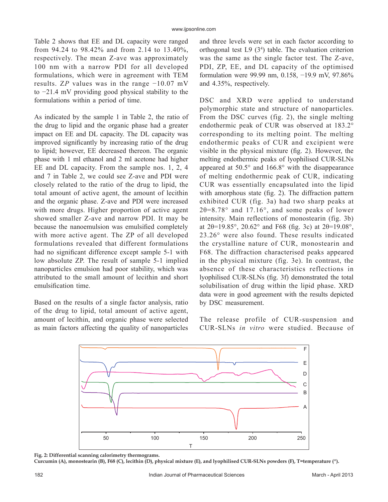Table 2 shows that EE and DL capacity were ranged from 94.24 to 98.42% and from 2.14 to 13.40%, respectively. The mean Z‑ave was approximately 100 nm with a narrow PDI for all developed formulations, which were in agreement with TEM results. Z*P* values was in the range −10.07 mV to −21.4 mV providing good physical stability to the formulations within a period of time.

As indicated by the sample 1 in Table 2, the ratio of the drug to lipid and the organic phase had a greater impact on EE and DL capacity. The DL capacity was improved significantly by increasing ratio of the drug to lipid; however, EE decreased thereon. The organic phase with 1 ml ethanol and 2 ml acetone had higher EE and DL capacity. From the sample nos. 1, 2, 4 and 7 in Table 2, we could see Z‑ave and PDI were closely related to the ratio of the drug to lipid, the total amount of active agent, the amount of lecithin and the organic phase. Z‑ave and PDI were increased with more drugs. Higher proportion of active agent showed smaller Z‑ave and narrow PDI. It may be because the nanoemulsion was emulsified completely with more active agent. The ZP of all developed formulations revealed that different formulations had no significant difference except sample 5-1 with low absolute ZP. The result of sample 5‑1 implied nanoparticles emulsion had poor stability, which was attributed to the small amount of lecithin and short emulsification time.

Based on the results of a single factor analysis, ratio of the drug to lipid, total amount of active agent, amount of lecithin, and organic phase were selected as main factors affecting the quality of nanoparticles and three levels were set in each factor according to orthogonal test  $L9(3<sup>4</sup>)$  table. The evaluation criterion was the same as the single factor test. The Z-ave, PDI, ZP, EE, and DL capacity of the optimised formulation were 99.99 nm, 0.158, −19.9 mV, 97.86% and 4.35%, respectively.

DSC and XRD were applied to understand polymorphic state and structure of nanoparticles. From the DSC curves (fig. 2), the single melting endothermic peak of CUR was observed at 183.2° corresponding to its melting point. The melting endothermic peaks of CUR and excipient were visible in the physical mixture (fig. 2). However, the melting endothermic peaks of lyophilised CUR‑SLNs appeared at 50.5° and 166.8° with the disappearance of melting endothermic peak of CUR, indicating CUR was essentially encapsulated into the lipid with amorphous state (fig. 2). The diffraction pattern exhibited CUR (fig. 3a) had two sharp peaks at  $2\theta=8.78^{\circ}$  and 17.16°, and some peaks of lower intensity. Main reflections of monostearin (fig. 3b) at 2θ=19.85°, 20.62° and F68 (fig. 3c) at 2θ=19.08°, 23.26° were also found. These results indicated the crystalline nature of CUR, monostearin and F68. The diffraction characterised peaks appeared in the physical mixture (fig. 3e). In contrast, the absence of these characteristics reflections in lyophilised CUR‑SLNs (fig. 3f) demonstrated the total solubilisation of drug within the lipid phase. XRD data were in good agreement with the results depicted by DSC measurement.

The release profile of CUR-suspension and CUR‑SLNs *in vitro* were studied. Because of



**Fig. 2: Differential scanning calorimetry thermograms.**

Curcumin (A), monostearin (B), F68 (C), lecithin (D), physical mixture (E), and lyophilised CUR-SLNs powders (F), T=temperature (°).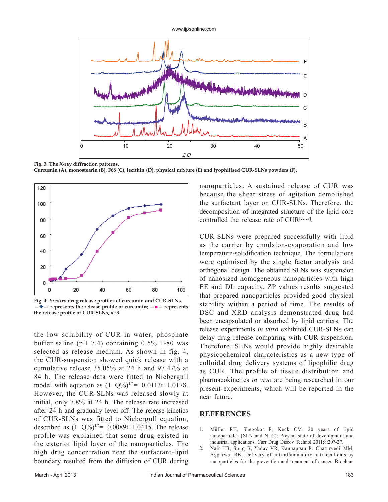www.ijpsonline.com



**Fig. 3: The X-ray diffraction patterns.**

**Curcumin (A), monostearin (B), F68 (C), lecithin (D), physical mixture (E) and lyophilised CUR-SLNs powders (F).**



**Fig. 4:** *In vitro* **drug release profiles of curcumin and CUR-SLNs. —— represents the release profile of curcumin; —■— represents the release profile of CUR-SLNs,** *n***=3.**

the low solubility of CUR in water, phosphate buffer saline (pH 7.4) containing 0.5% T‑80 was selected as release medium. As shown in fig. 4, the CUR‑suspension showed quick release with a cumulative release 35.05% at 24 h and 97.47% at 84 h. The release data were fitted to Niebergull model with equation as  $(1-Q\%)^{1/2}=-0.0113t+1.0178$ . However, the CUR‑SLNs was released slowly at initial, only 7.8% at 24 h. The release rate increased after 24 h and gradually level off. The release kinetics of CUR‑SLNs was fitted to Niebergull equation, described as  $(1-Q\%)^{1/2}=-0.0089t+1.0415$ . The release profile was explained that some drug existed in the exterior lipid layer of the nanoparticles. The high drug concentration near the surfactant-lipid boundary resulted from the diffusion of CUR during nanoparticles. A sustained release of CUR was because the shear stress of agitation demolished the surfactant layer on CUR‑SLNs. Therefore, the decomposition of integrated structure of the lipid core controlled the release rate of CUR<sup>[22,23]</sup>.

CUR‑SLNs were prepared successfully with lipid as the carrier by emulsion‑evaporation and low temperature‑solidification technique. The formulations were optimised by the single factor analysis and orthogonal design. The obtained SLNs was suspension of nanosized homogeneous nanoparticles with high EE and DL capacity. ZP values results suggested that prepared nanoparticles provided good physical stability within a period of time. The results of DSC and XRD analysis demonstrated drug had been encapsulated or absorbed by lipid carriers. The release experiments *in vitro* exhibited CUR‑SLNs can delay drug release comparing with CUR-suspension. Therefore, SLNs would provide highly desirable physicochemical characteristics as a new type of colloidal drug delivery systems of lipophilic drug as CUR. The profile of tissue distribution and pharmacokinetics *in vivo* are being researched in our present experiments, which will be reported in the near future.

#### **REFERENCES**

- 1. Müller RH, Shegokar R, Keck CM. 20 years of lipid nanoparticles (SLN and NLC): Present state of development and industrial applications. Curr Drug Discov Technol 2011;8:207-27.
- 2. Nair HB, Sung B, Yadav VR, Kannappan R, Chaturvedi MM, Aggarwal BB. Delivery of antiinflammatory nutraceuticals by nanoparticles for the prevention and treatment of cancer. Biochem